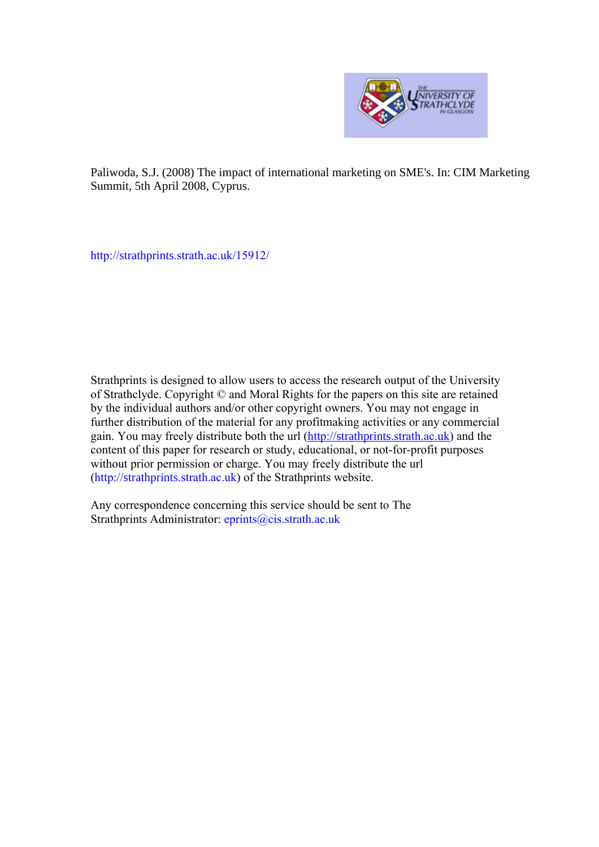

Paliwoda, S.J. (2008) The impact of international marketing on SME's. In: CIM Marketing Summit, 5th April 2008, Cyprus.

[http://strathprints.strath.ac.uk/15912](http://strathprints.strath.ac.uk/15912/)/

Strathprints is designed to allow users to access the research output of the University of Strathclyde. Copyright © and Moral Rights for the papers on this site are retained by the individual authors and/or other copyright owners. You may not engage in further distribution of the material for any profitmaking activities or any commercial gain. You may freely distribute both the url ([http://strathprints.strath.ac.uk\)](https://nemo.strath.ac.uk/exchweb/bin/redir.asp?URL=http://eprints.cdlr.strath.ac.uk) and the content of this paper for research or study, educational, or not-for-profit purposes without prior permission or charge. You may freely distribute the url (http://strathprints.strath.ac.uk) of the Strathprints website.

Any correspondence concerning this service should be sent to The Strathprints Administrator: eprints@cis.strath.ac.uk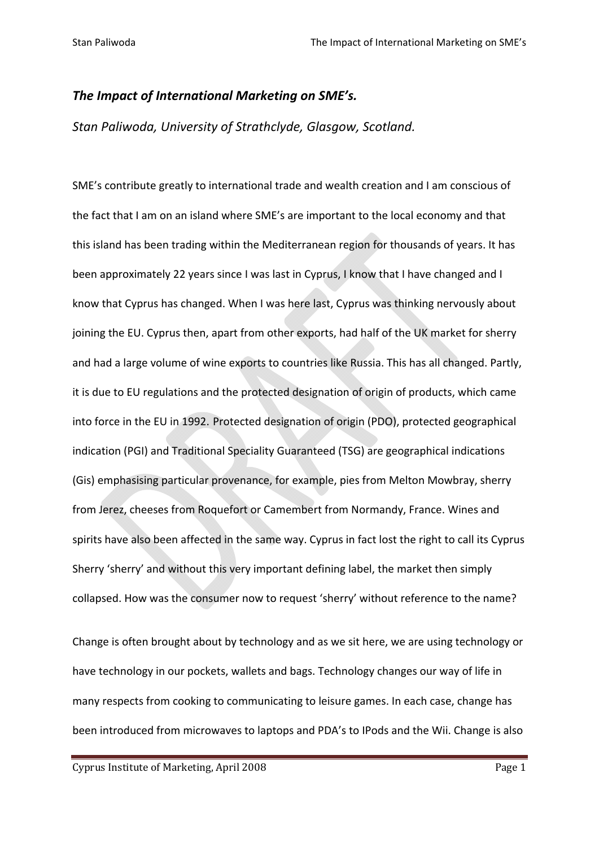# *The Impact of International Marketing on SME's.*

*Stan Paliwoda, University of Strathclyde, Glasgow, Scotland.*

SME's contribute greatly to international trade and wealth creation and I am conscious of the fact that I am on an island where SME's are important to the local economy and that this island has been trading within the Mediterranean region for thousands of years. It has been approximately 22 years since I was last in Cyprus, I know that I have changed and I know that Cyprus has changed. When I was here last, Cyprus was thinking nervously about joining the EU. Cyprus then, apart from other exports, had half of the UK market for sherry and had a large volume of wine exports to countries like Russia. This has all changed. Partly, it is due to EU regulations and the protected designation of origin of products, which came into force in the EU in 1992. Protected designation of origin (PDO), protected geographical indication (PGI) and Traditional Speciality Guaranteed (TSG) are geographical indications (Gis) emphasising particular provenance, for example, pies from Melton Mowbray, sherry from Jerez, cheeses from Roquefort or Camembert from Normandy, [France.](http://en.wikipedia.org/wiki/Geographical_indication) Wines and spirits have also been affected in the same way. Cyprus in fact lost the right to call its Cyprus Sherry 'sherry' and without this very important defining label, the market then simply collapsed. How was the consumer now to request 'sherry' without reference to the name?

Change is often brought about by technology and as we sit here, we are using technology or have technology in our pockets, wallets and bags. Technology changes our way of life in many respects from cooking to communicating to leisure games. In each case, change has been introduced from microwaves to laptops and PDA's to IPods and the Wii. Change is also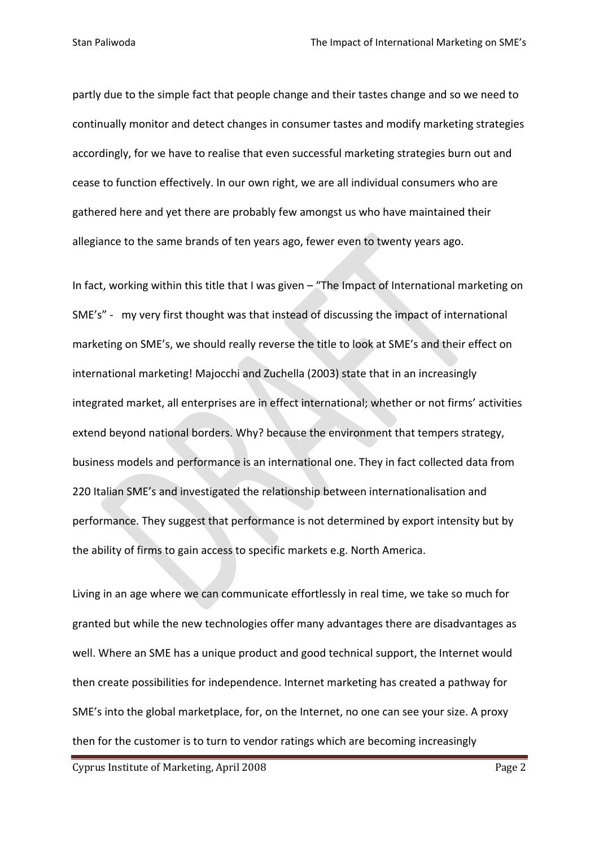partly due to the simple fact that people change and their tastes change and so we need to continually monitor and detect changes in consumer tastes and modify marketing strategies accordingly, for we have to realise that even successful marketing strategies burn out and cease to function effectively. In our own right, we are all individual consumers who are gathered here and yet there are probably few amongst us who have maintained their allegiance to the same brands of ten years ago, fewer even to twenty years ago.

In fact, working within this title that I was given – "The Impact of International marketing on SME's" - my very first thought was that instead of discussing the impact of international marketing on SME's, we should really reverse the title to look at SME's and their effect on international marketing! Majocchi and Zuchella (2003) state that in an increasingly integrated market, all enterprises are in effect international; whether or not firms' activities extend beyond national borders. Why? because the environment that tempers strategy, business models and performance is an international one. They in fact collected data from 220 Italian SME's and investigated the relationship between internationalisation and performance. They suggest that performance is not determined by export intensity but by the ability of firms to gain access to specific markets e.g. North America.

Living in an age where we can communicate effortlessly in real time, we take so much for granted but while the new technologies offer many advantages there are disadvantages as well. Where an SME has a unique product and good technical support, the Internet would then create possibilities for independence. Internet marketing has created a pathway for SME's into the global marketplace, for, on the Internet, no one can see your size. A proxy then for the customer is to turn to vendor ratings which are becoming increasingly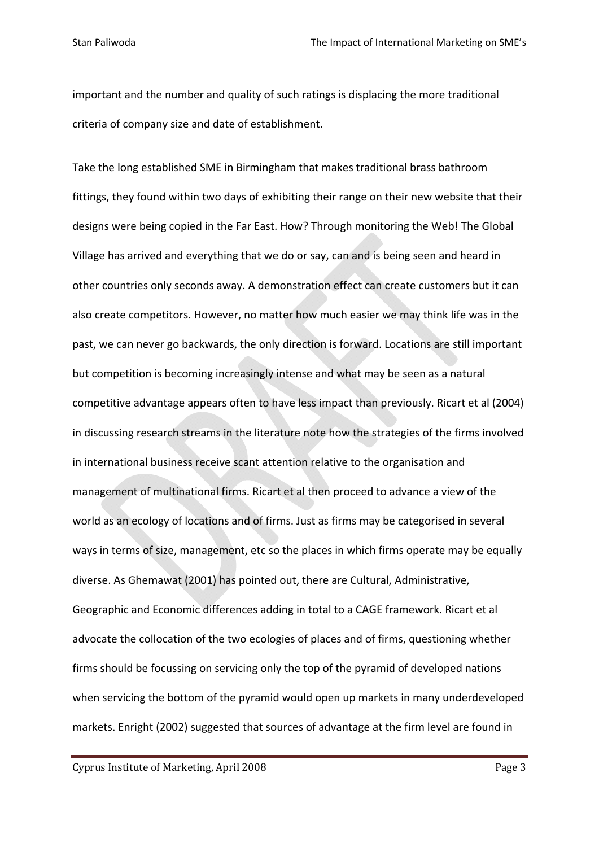important and the number and quality of such ratings is displacing the more traditional criteria of company size and date of establishment.

Take the long established SME in Birmingham that makes traditional brass bathroom fittings, they found within two days of exhibiting their range on their new website that their designs were being copied in the Far East. How? Through monitoring the Web! The Global Village has arrived and everything that we do or say, can and is being seen and heard in other countries only seconds away. A demonstration effect can create customers but it can also create competitors. However, no matter how much easier we may think life was in the past, we can never go backwards, the only direction is forward. Locations are still important but competition is becoming increasingly intense and what may be seen as a natural competitive advantage appears often to have less impact than previously. Ricart et al (2004) in discussing research streams in the literature note how the strategies of the firms involved in international business receive scant attention relative to the organisation and management of multinational firms. Ricart et al then proceed to advance a view of the world as an ecology of locations and of firms. Just as firms may be categorised in several ways in terms of size, management, etc so the places in which firms operate may be equally diverse. As Ghemawat (2001) has pointed out, there are Cultural, Administrative, Geographic and Economic differences adding in total to a CAGE framework. Ricart et al advocate the collocation of the two ecologies of places and of firms, questioning whether firms should be focussing on servicing only the top of the pyramid of developed nations when servicing the bottom of the pyramid would open up markets in many underdeveloped markets. Enright (2002) suggested that sources of advantage at the firm level are found in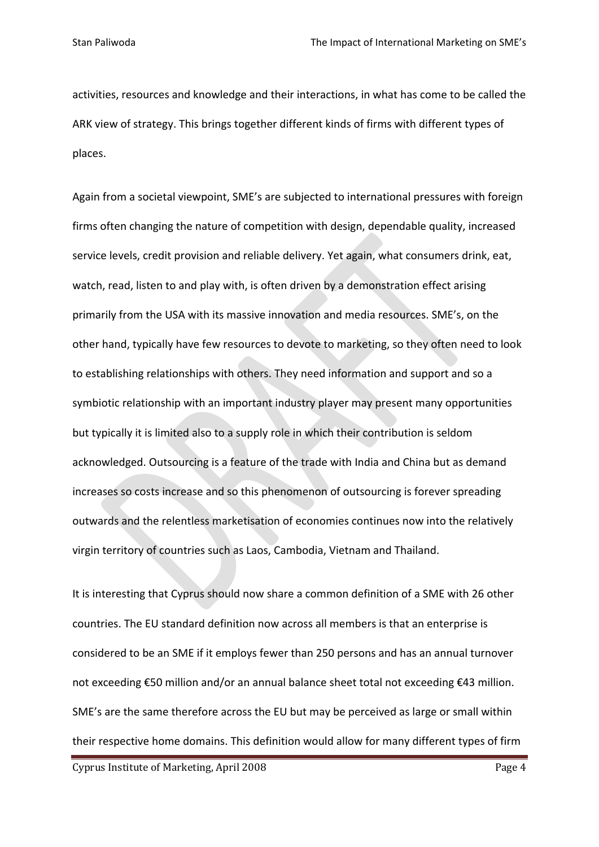activities, resources and knowledge and their interactions, in what has come to be called the ARK view of strategy. This brings together different kinds of firms with different types of places.

Again from a societal viewpoint, SME's are subjected to international pressures with foreign firms often changing the nature of competition with design, dependable quality, increased service levels, credit provision and reliable delivery. Yet again, what consumers drink, eat, watch, read, listen to and play with, is often driven by a demonstration effect arising primarily from the USA with its massive innovation and media resources. SME's, on the other hand, typically have few resources to devote to marketing, so they often need to look to establishing relationships with others. They need information and support and so a symbiotic relationship with an important industry player may present many opportunities but typically it is limited also to a supply role in which their contribution is seldom acknowledged. Outsourcing is a feature of the trade with India and China but as demand increases so costs increase and so this phenomenon of outsourcing is forever spreading outwards and the relentless marketisation of economies continues now into the relatively virgin territory of countries such as Laos, Cambodia, Vietnam and Thailand.

It is interesting that Cyprus should now share a common definition of a SME with 26 other countries. The EU standard definition now across all members is that an enterprise is considered to be an SME if it employs fewer than 250 persons and has an annual turnover not exceeding €50 million and/or an annual balance sheet total not exceeding €43 million. SME's are the same therefore across the EU but may be perceived as large or small within their respective home domains. This definition would allow for many different types of firm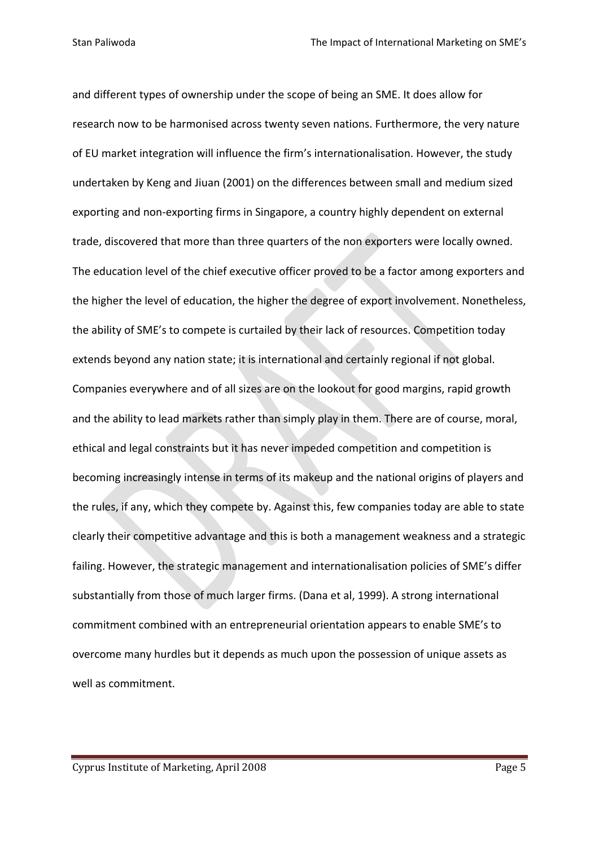and different types of ownership under the scope of being an SME. It does allow for research now to be harmonised across twenty seven nations. Furthermore, the very nature of EU market integration will influence the firm's internationalisation. However, the study undertaken by Keng and Jiuan (2001) on the differences between small and medium sized exporting and non‐exporting firms in Singapore, a country highly dependent on external trade, discovered that more than three quarters of the non exporters were locally owned. The education level of the chief executive officer proved to be a factor among exporters and the higher the level of education, the higher the degree of export involvement. Nonetheless, the ability of SME's to compete is curtailed by their lack of resources. Competition today extends beyond any nation state; it is international and certainly regional if not global. Companies everywhere and of all sizes are on the lookout for good margins, rapid growth and the ability to lead markets rather than simply play in them. There are of course, moral, ethical and legal constraints but it has never impeded competition and competition is becoming increasingly intense in terms of its makeup and the national origins of players and the rules, if any, which they compete by. Against this, few companies today are able to state clearly their competitive advantage and this is both a management weakness and a strategic failing. However, the strategic management and internationalisation policies of SME's differ substantially from those of much larger firms. (Dana et al, 1999). A strong international commitment combined with an entrepreneurial orientation appears to enable SME's to overcome many hurdles but it depends as much upon the possession of unique assets as well as commitment.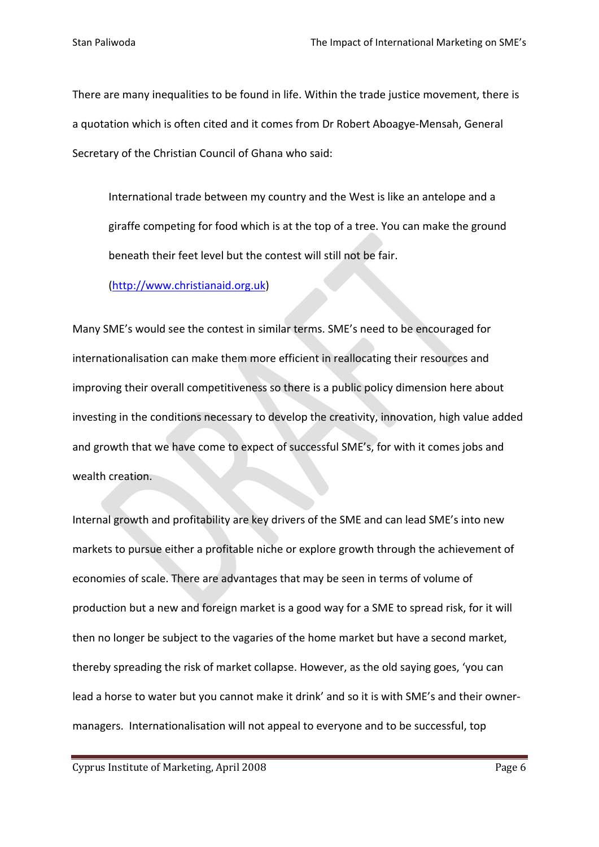There are many inequalities to be found in life. Within the trade justice movement, there is a quotation which is often cited and it comes from Dr Robert Aboagye‐Mensah, General Secretary of the Christian Council of Ghana who said:

International trade between my country and the West is like an antelope and a giraffe competing for food which is at the top of a tree. You can make the ground beneath their feet level but the contest will still not be fair.

### (http://www.christianaid.org.uk)

Many SME's would see the [contest](http://www.christianaid.org.uk/) in similar terms. SME's need to be encouraged for internationalisation can make them more efficient in reallocating their resources and improving their overall competitiveness so there is a public policy dimension here about investing in the conditions necessary to develop the creativity, innovation, high value added and growth that we have come to expect of successful SME's, for with it comes jobs and wealth creation.

Internal growth and profitability are key drivers of the SME and can lead SME's into new markets to pursue either a profitable niche or explore growth through the achievement of economies of scale. There are advantages that may be seen in terms of volume of production but a new and foreign market is a good way for a SME to spread risk, for it will then no longer be subject to the vagaries of the home market but have a second market, thereby spreading the risk of market collapse. However, as the old saying goes, 'you can lead a horse to water but you cannot make it drink' and so it is with SME's and their owner‐ managers. Internationalisation will not appeal to everyone and to be successful, top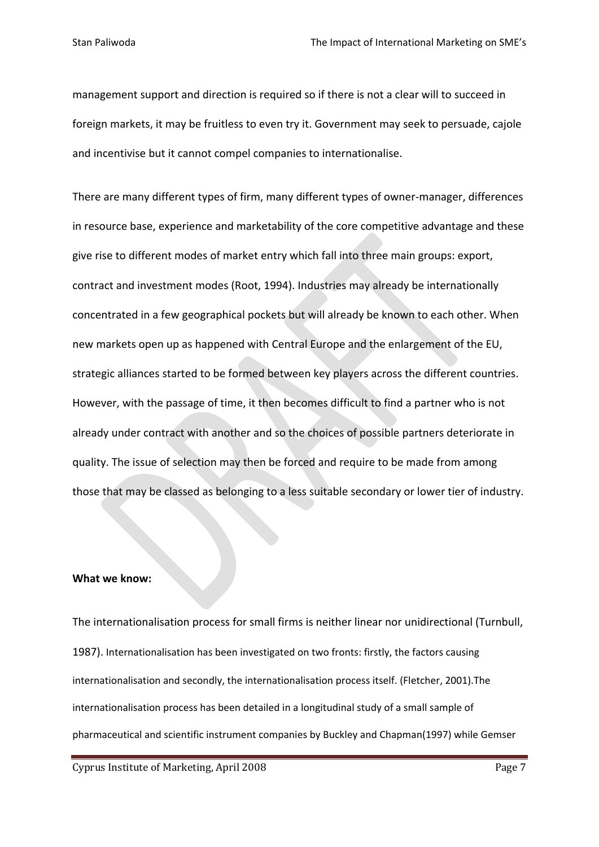management support and direction is required so if there is not a clear will to succeed in foreign markets, it may be fruitless to even try it. Government may seek to persuade, cajole and incentivise but it cannot compel companies to internationalise.

There are many different types of firm, many different types of owner‐manager, differences in resource base, experience and marketability of the core competitive advantage and these give rise to different modes of market entry which fall into three main groups: export, contract and investment modes (Root, 1994). Industries may already be internationally concentrated in a few geographical pockets but will already be known to each other. When new markets open up as happened with Central Europe and the enlargement of the EU, strategic alliances started to be formed between key players across the different countries. However, with the passage of time, it then becomes difficult to find a partner who is not already under contract with another and so the choices of possible partners deteriorate in quality. The issue of selection may then be forced and require to be made from among those that may be classed as belonging to a less suitable secondary or lower tier of industry.

### **What we know:**

The internationalisation process for small firms is neither linear nor unidirectional (Turnbull, 1987). Internationalisation has been investigated on two fronts: firstly, the factors causing internationalisation and secondly, the internationalisation process itself. (Fletcher, 2001).The internationalisation process has been detailed in a longitudinal study of a small sample of pharmaceutical and scientific instrument companies by Buckley and Chapman(1997) while Gemser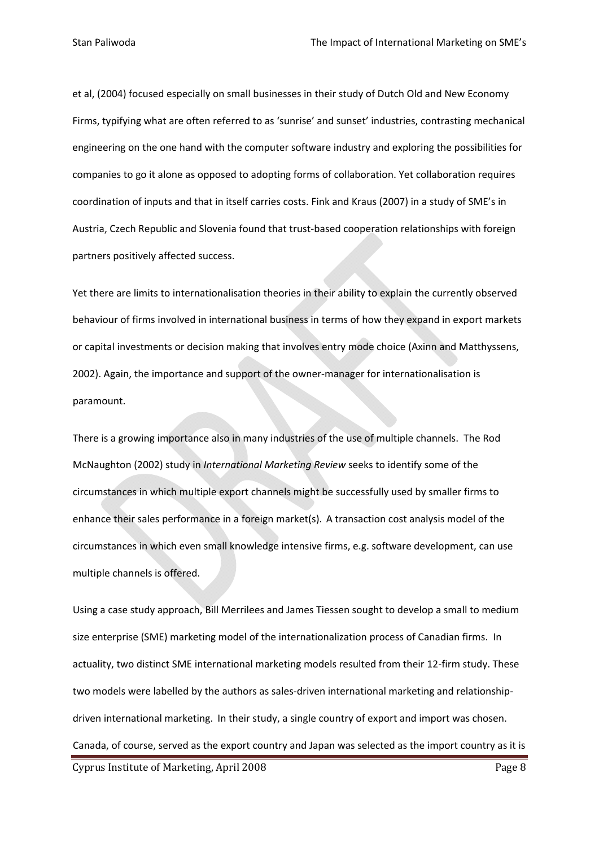et al, (2004) focused especially on small businesses in their study of Dutch Old and New Economy Firms, typifying what are often referred to as 'sunrise' and sunset' industries, contrasting mechanical engineering on the one hand with the computer software industry and exploring the possibilities for companies to go it alone as opposed to adopting forms of collaboration. Yet collaboration requires coordination of inputs and that in itself carries costs. Fink and Kraus (2007) in a study of SME's in Austria, Czech Republic and Slovenia found that trust-based cooperation relationships with foreign partners positively affected success.

Yet there are limits to internationalisation theories in their ability to explain the currently observed behaviour of firms involved in international business in terms of how they expand in export markets or capital investments or decision making that involves entry mode choice (Axinn and Matthyssens, 2002). Again, the importance and support of the owner-manager for internationalisation is paramount.

There is a growing importance also in many industries of the use of multiple channels. The Rod McNaughton (2002) study in *International Marketing Review* seeks to identify some of the circumstances in which multiple export channels might be successfully used by smaller firms to enhance their sales performance in a foreign market(s). A transaction cost analysis model of the circumstances in which even small knowledge intensive firms, e.g. software development, can use multiple channels is offered.

Using a case study approach, Bill Merrilees and James Tiessen sought to develop a small to medium size enterprise (SME) marketing model of the internationalization process of Canadian firms. In actuality, two distinct SME international marketing models resulted from their 12‐firm study. These two models were labelled by the authors as sales-driven international marketing and relationshipdriven international marketing. In their study, a single country of export and import was chosen. Canada, of course, served as the export country and Japan was selected as the import country as it is

Cyprus Institute of Marketing, April 2008 **Page 8** Page 8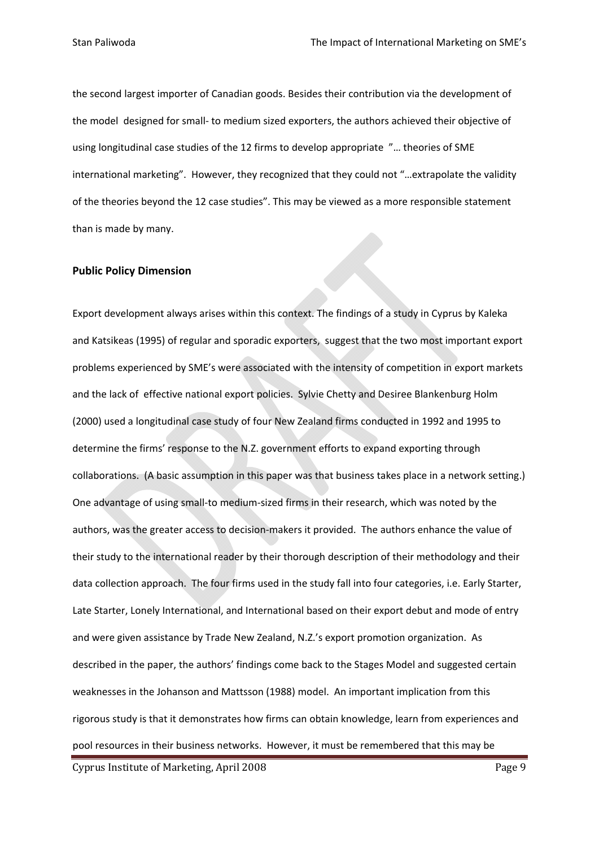the second largest importer of Canadian goods. Besides their contribution via the development of the model designed for small‐ to medium sized exporters, the authors achieved their objective of using longitudinal case studies of the 12 firms to develop appropriate "… theories of SME international marketing". However, they recognized that they could not "…extrapolate the validity of the theories beyond the 12 case studies". This may be viewed as a more responsible statement than is made by many.

#### **Public Policy Dimension**

Export development always arises within this context. The findings of a study in Cyprus by Kaleka and Katsikeas (1995) of regular and sporadic exporters, suggest that the two most important export problems experienced by SME's were associated with the intensity of competition in export markets and the lack of effective national export policies. Sylvie Chetty and Desiree Blankenburg Holm (2000) used a longitudinal case study of four New Zealand firms conducted in 1992 and 1995 to determine the firms' response to the N.Z. government efforts to expand exporting through collaborations. (A basic assumption in this paper was that business takes place in a network setting.) One advantage of using small‐to medium‐sized firms in their research, which was noted by the authors, was the greater access to decision‐makers it provided. The authors enhance the value of their study to the international reader by their thorough description of their methodology and their data collection approach. The four firms used in the study fall into four categories, i.e. Early Starter, Late Starter, Lonely International, and International based on their export debut and mode of entry and were given assistance by Trade New Zealand, N.Z.'s export promotion organization. As described in the paper, the authors' findings come back to the Stages Model and suggested certain weaknesses in the Johanson and Mattsson (1988) model. An important implication from this rigorous study is that it demonstrates how firms can obtain knowledge, learn from experiences and pool resources in their business networks. However, it must be remembered that this may be

Cyprus Institute of Marketing, April 2008 **Page 9** Page 9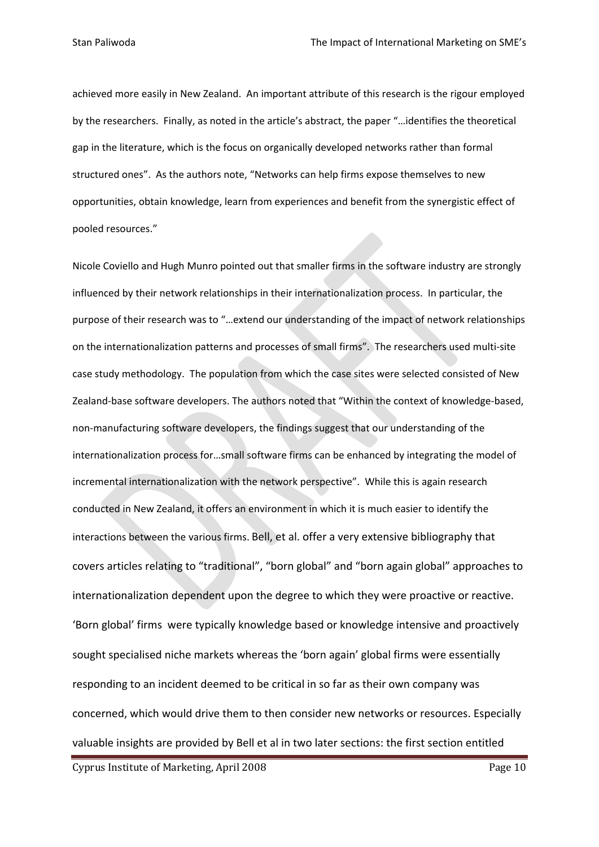achieved more easily in New Zealand. An important attribute of this research is the rigour employed by the researchers. Finally, as noted in the article's abstract, the paper "…identifies the theoretical gap in the literature, which is the focus on organically developed networks rather than formal structured ones". As the authors note, "Networks can help firms expose themselves to new opportunities, obtain knowledge, learn from experiences and benefit from the synergistic effect of pooled resources."

Nicole Coviello and Hugh Munro pointed out that smaller firms in the software industry are strongly influenced by their network relationships in their internationalization process. In particular, the purpose of their research was to "…extend our understanding of the impact of network relationships on the internationalization patterns and processes of small firms". The researchers used multi‐site case study methodology. The population from which the case sites were selected consisted of New Zealand‐base software developers. The authors noted that "Within the context of knowledge‐based, non‐manufacturing software developers, the findings suggest that our understanding of the internationalization process for…small software firms can be enhanced by integrating the model of incremental internationalization with the network perspective". While this is again research conducted in New Zealand, it offers an environment in which it is much easier to identify the interactions between the various firms. Bell, et al. offer a very extensive bibliography that covers articles relating to "traditional", "born global" and "born again global" approaches to internationalization dependent upon the degree to which they were proactive or reactive. 'Born global' firms were typically knowledge based or knowledge intensive and proactively sought specialised niche markets whereas the 'born again' global firms were essentially responding to an incident deemed to be critical in so far as their own company was concerned, which would drive them to then consider new networks or resources. Especially valuable insights are provided by Bell et al in two later sections: the first section entitled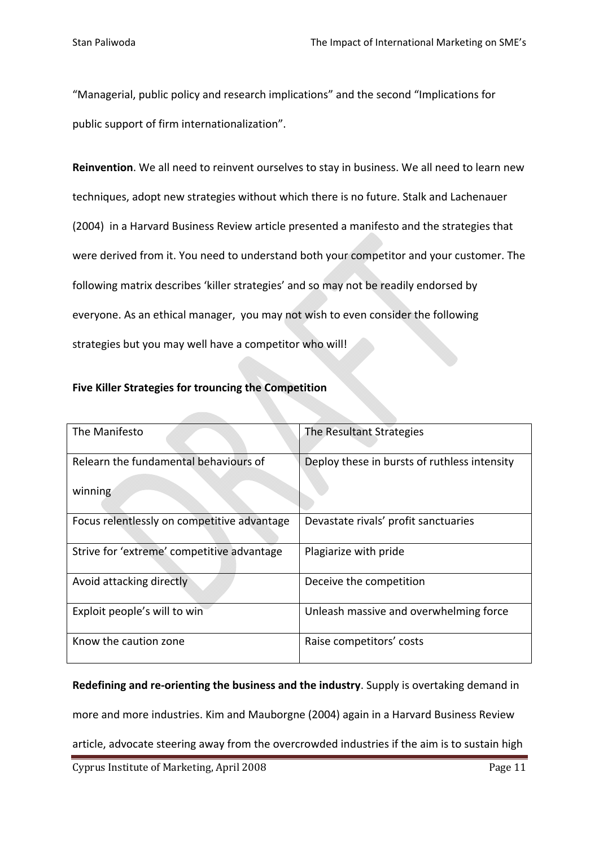"Managerial, public policy and research implications" and the second "Implications for public support of firm internationalization".

**Reinvention**. We all need to reinvent ourselves to stay in business. We all need to learn new techniques, adopt new strategies without which there is no future. Stalk and Lachenauer (2004) in a Harvard Business Review article presented a manifesto and the strategies that were derived from it. You need to understand both your competitor and your customer. The following matrix describes 'killer strategies' and so may not be readily endorsed by everyone. As an ethical manager, you may not wish to even consider the following strategies but you may well have a competitor who will!

## **Five Killer Strategies for trouncing the Competition**

| The Manifesto                               | The Resultant Strategies                     |
|---------------------------------------------|----------------------------------------------|
| Relearn the fundamental behaviours of       | Deploy these in bursts of ruthless intensity |
| winning                                     |                                              |
| Focus relentlessly on competitive advantage | Devastate rivals' profit sanctuaries         |
| Strive for 'extreme' competitive advantage  | Plagiarize with pride                        |
| Avoid attacking directly                    | Deceive the competition                      |
| Exploit people's will to win                | Unleash massive and overwhelming force       |
| Know the caution zone                       | Raise competitors' costs                     |

**Redefining and re‐orienting the business and the industry**. Supply is overtaking demand in

more and more industries. Kim and Mauborgne (2004) again in a Harvard Business Review

article, advocate steering away from the overcrowded industries if the aim is to sustain high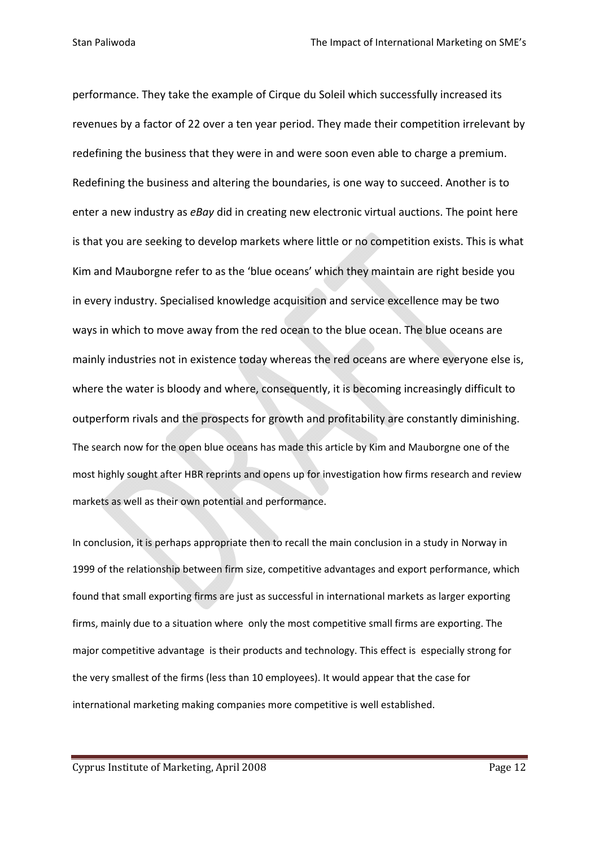performance. They take the example of Cirque du Soleil which successfully increased its revenues by a factor of 22 over a ten year period. They made their competition irrelevant by redefining the business that they were in and were soon even able to charge a premium. Redefining the business and altering the boundaries, is one way to succeed. Another is to enter a new industry as *eBay* did in creating new electronic virtual auctions. The point here is that you are seeking to develop markets where little or no competition exists. This is what Kim and Mauborgne refer to as the 'blue oceans' which they maintain are right beside you in every industry. Specialised knowledge acquisition and service excellence may be two ways in which to move away from the red ocean to the blue ocean. The blue oceans are mainly industries not in existence today whereas the red oceans are where everyone else is, where the water is bloody and where, consequently, it is becoming increasingly difficult to outperform rivals and the prospects for growth and profitability are constantly diminishing. The search now for the open blue oceans has made this article by Kim and Mauborgne one of the most highly sought after HBR reprints and opens up for investigation how firms research and review markets as well as their own potential and performance.

In conclusion, it is perhaps appropriate then to recall the main conclusion in a study in Norway in 1999 of the relationship between firm size, competitive advantages and export performance, which found that small exporting firms are just as successful in international markets as larger exporting firms, mainly due to a situation where only the most competitive small firms are exporting. The major competitive advantage is their products and technology. This effect is especially strong for the very smallest of the firms (less than 10 employees). It would appear that the case for international marketing making companies more competitive is well established.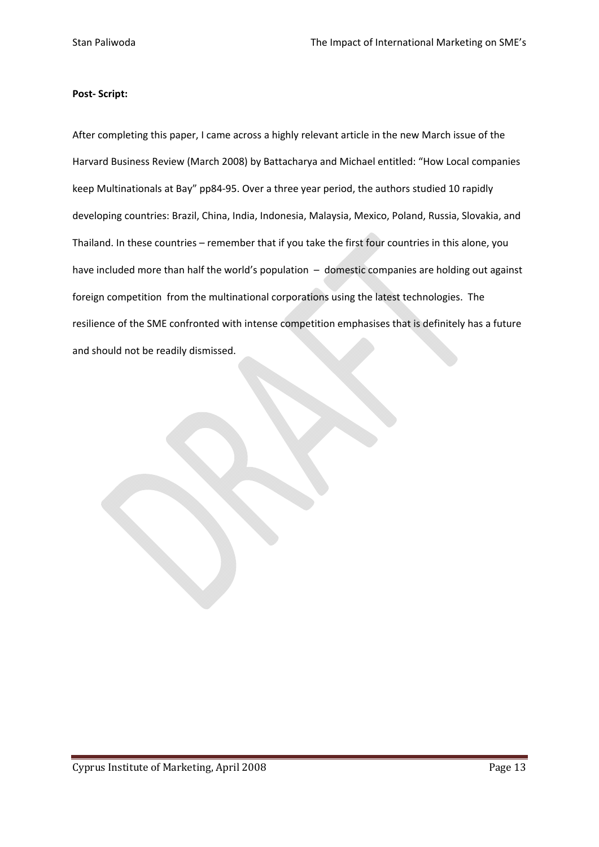### **Post‐ Script:**

After completing this paper, I came across a highly relevant article in the new March issue of the Harvard Business Review (March 2008) by Battacharya and Michael entitled: "How Local companies keep Multinationals at Bay" pp84‐95. Over a three year period, the authors studied 10 rapidly developing countries: Brazil, China, India, Indonesia, Malaysia, Mexico, Poland, Russia, Slovakia, and Thailand. In these countries – remember that if you take the first four countries in this alone, you have included more than half the world's population - domestic companies are holding out against foreign competition from the multinational corporations using the latest technologies. The resilience of the SME confronted with intense competition emphasises that is definitely has a future and should not be readily dismissed.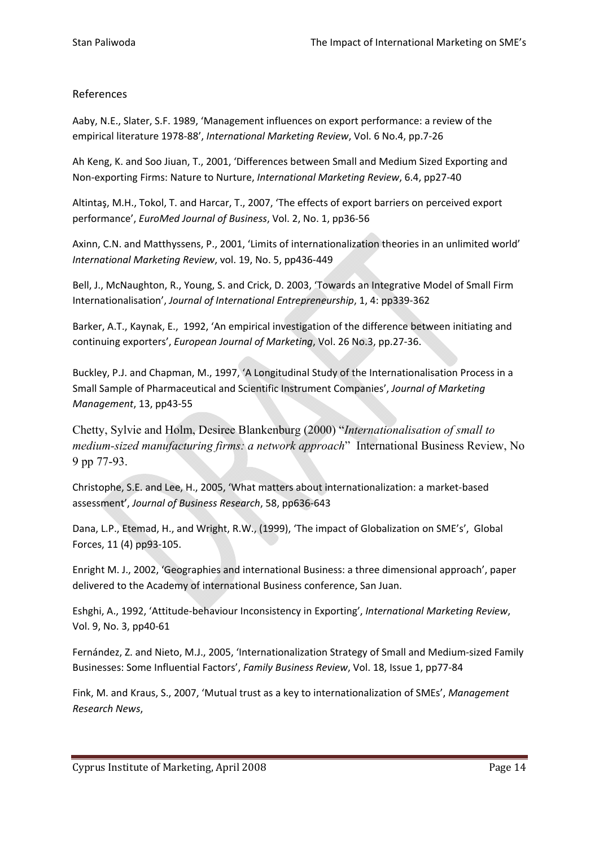## References

Aaby, N.E., Slater, S.F. 1989, 'Management influences on export performance: a review of the empirical literature 1978‐88', *International Marketing Review*, Vol. 6 No.4, pp.7‐26

Ah Keng, K. and Soo Jiuan, T., 2001, 'Differences between Small and Medium Sized Exporting and Non‐exporting Firms: Nature to Nurture, *International Marketing Review*, 6.4, pp27‐40

Altintaş, M.H., Tokol, T. and Harcar, T., 2007, 'The effects of export barriers on perceived export performance', *EuroMed Journal of Business*, Vol. 2, No. 1, pp36‐56

Axinn, C.N. and Matthyssens, P., 2001, 'Limits of internationalization theories in an unlimited world' *International Marketing Review*, vol. 19, No. 5, pp436‐449

Bell, J., McNaughton, R., Young, S. and Crick, D. 2003, 'Towards an Integrative Model of Small Firm Internationalisation', *Journal of International Entrepreneurship*, 1, 4: pp339‐362

Barker, A.T., Kaynak, E., 1992, 'An empirical investigation of the difference between initiating and continuing exporters', *European Journal of Marketing*, Vol. 26 No.3, pp.27‐36.

Buckley, P.J. and Chapman, M., 1997, 'A Longitudinal Study of the Internationalisation Process in a Small Sample of Pharmaceutical and Scientific Instrument Companies', *Journal of Marketing Management*, 13, pp43‐55

Chetty, Sylvie and Holm, Desiree Blankenburg (2000) "*Internationalisation of small to medium-sized manufacturing firms: a network approach*" International Business Review, No 9 pp 77-93.

Christophe, S.E. and Lee, H., 2005, 'What matters about internationalization: a market‐based assessment', *Journal of Business Research*, 58, pp636‐643

Dana, L.P., Etemad, H., and Wright, R.W., (1999), 'The impact of Globalization on SME's', Global Forces, 11 (4) pp93‐105.

Enright M. J., 2002, 'Geographies and international Business: a three dimensional approach', paper delivered to the Academy of international Business conference, San Juan.

Eshghi, A., 1992, 'Attitude‐behaviour Inconsistency in Exporting', *International Marketing Review*, Vol. 9, No. 3, pp40‐61

Fernández, Z. and Nieto, M.J., 2005, 'Internationalization Strategy of Small and Medium‐sized Family Businesses: Some Influential Factors', *Family Business Review*, Vol. 18, Issue 1, pp77‐84

Fink, M. and Kraus, S., 2007, 'Mutual trust as a key to internationalization of SMEs', *Management Research News*,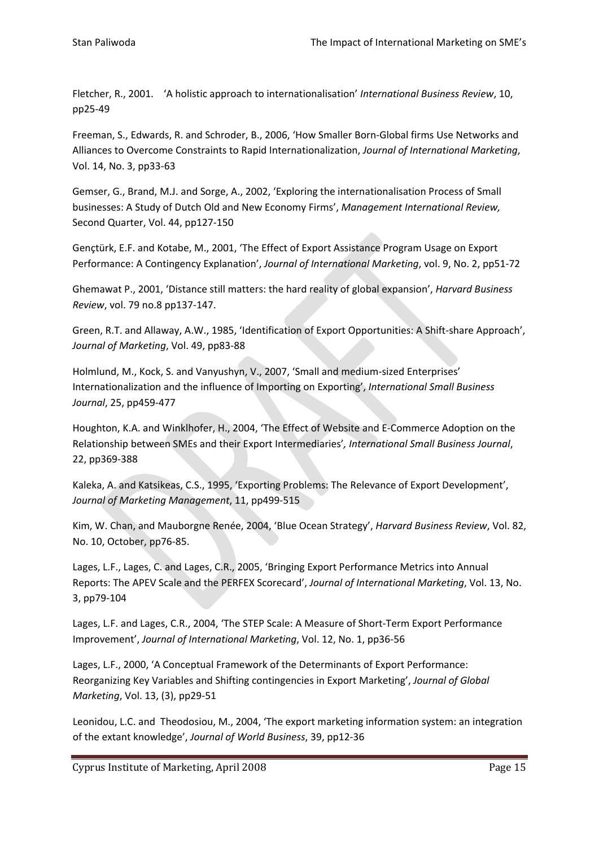Fletcher, R., 2001. 'A holistic approach to internationalisation' *International Business Review*, 10, pp25‐49

Freeman, S., Edwards, R. and Schroder, B., 2006, 'How Smaller Born‐Global firms Use Networks and Alliances to Overcome Constraints to Rapid Internationalization, *Journal of International Marketing*, Vol. 14, No. 3, pp33‐63

Gemser, G., Brand, M.J. and Sorge, A., 2002, 'Exploring the internationalisation Process of Small businesses: A Study of Dutch Old and New Economy Firms', *Management International Review,* Second Quarter, Vol. 44, pp127‐150

Gençtürk, E.F. and Kotabe, M., 2001, 'The Effect of Export Assistance Program Usage on Export Performance: A Contingency Explanation', *Journal of International Marketing*, vol. 9, No. 2, pp51‐72

Ghemawat P., 2001, 'Distance still matters: the hard reality of global expansion', *Harvard Business Review*, vol. 79 no.8 pp137‐147.

Green, R.T. and Allaway, A.W., 1985, 'Identification of Export Opportunities: A Shift-share Approach', *Journal of Marketing*, Vol. 49, pp83‐88

Holmlund, M., Kock, S. and Vanyushyn, V., 2007, 'Small and medium‐sized Enterprises' Internationalization and the influence of Importing on Exporting', *International Small Business Journal*, 25, pp459‐477

Houghton, K.A. and Winklhofer, H., 2004, 'The Effect of Website and E‐Commerce Adoption on the Relationship between SMEs and their Export Intermediaries'*, International Small Business Journal*, 22, pp369‐388

Kaleka, A. and Katsikeas, C.S., 1995, 'Exporting Problems: The Relevance of Export Development', *Journal of Marketing Management*, 11, pp499‐515

Kim, W. Chan, and Mauborgne Renée, 2004, 'Blue Ocean Strategy', *Harvard Business Review*, Vol. 82, No. 10, October, pp76‐85.

Lages, L.F., Lages, C. and Lages, C.R., 2005, 'Bringing Export Performance Metrics into Annual Reports: The APEV Scale and the PERFEX Scorecard', *Journal of International Marketing*, Vol. 13, No. 3, pp79‐104

Lages, L.F. and Lages, C.R., 2004, 'The STEP Scale: A Measure of Short‐Term Export Performance Improvement', *Journal of International Marketing*, Vol. 12, No. 1, pp36‐56

Lages, L.F., 2000, 'A Conceptual Framework of the Determinants of Export Performance: Reorganizing Key Variables and Shifting contingencies in Export Marketing', *Journal of Global Marketing*, Vol. 13, (3), pp29‐51

Leonidou, L.C. and Theodosiou, M., 2004, 'The export marketing information system: an integration of the extant knowledge', *Journal of World Business*, 39, pp12‐36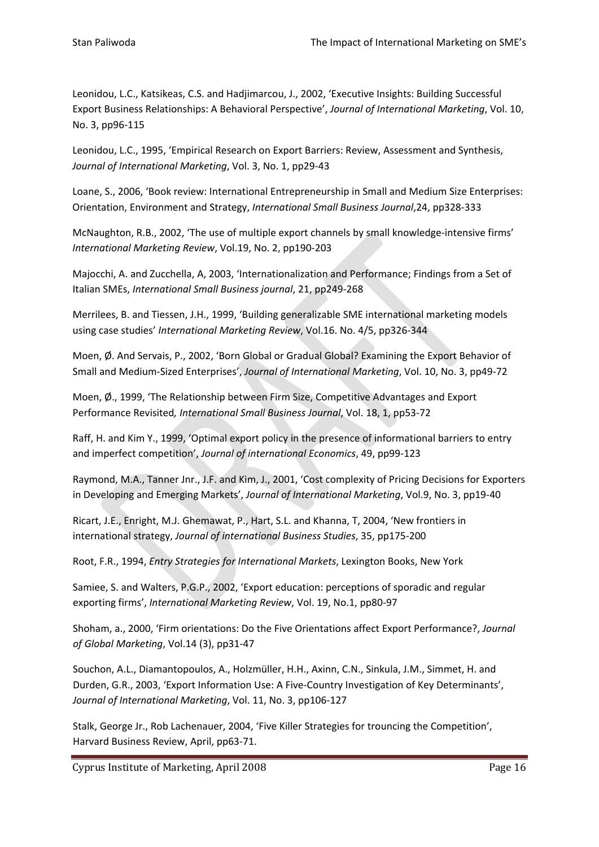Leonidou, L.C., Katsikeas, C.S. and Hadjimarcou, J., 2002, 'Executive Insights: Building Successful Export Business Relationships: A Behavioral Perspective', *Journal of International Marketing*, Vol. 10, No. 3, pp96‐115

Leonidou, L.C., 1995, 'Empirical Research on Export Barriers: Review, Assessment and Synthesis, *Journal of International Marketing*, Vol. 3, No. 1, pp29‐43

Loane, S., 2006, 'Book review: International Entrepreneurship in Small and Medium Size Enterprises: Orientation, Environment and Strategy, *International Small Business Journal*,24, pp328‐333

McNaughton, R.B., 2002, 'The use of multiple export channels by small knowledge‐intensive firms' *International Marketing Review*, Vol.19, No. 2, pp190‐203

Majocchi, A. and Zucchella, A, 2003, 'Internationalization and Performance; Findings from a Set of Italian SMEs, *International Small Business journal*, 21, pp249‐268

Merrilees, B. and Tiessen, J.H., 1999, 'Building generalizable SME international marketing models using case studies' *International Marketing Review*, Vol.16. No. 4/5, pp326‐344

Moen, Ø. And Servais, P., 2002, 'Born Global or Gradual Global? Examining the Export Behavior of Small and Medium‐Sized Enterprises', *Journal of International Marketing*, Vol. 10, No. 3, pp49‐72

Moen, Ø., 1999, 'The Relationship between Firm Size, Competitive Advantages and Export Performance Revisited*, International Small Business Journal*, Vol. 18, 1, pp53‐72

Raff, H. and Kim Y., 1999, 'Optimal export policy in the presence of informational barriers to entry and imperfect competition', *Journal of international Economics*, 49, pp99‐123

Raymond, M.A., Tanner Jnr., J.F. and Kim, J., 2001, 'Cost complexity of Pricing Decisions for Exporters in Developing and Emerging Markets', *Journal of International Marketing*, Vol.9, No. 3, pp19‐40

Ricart, J.E., Enright, M.J. Ghemawat, P., Hart, S.L. and Khanna, T, 2004, 'New frontiers in international strategy, *Journal of international Business Studies*, 35, pp175‐200

Root, F.R., 1994, *Entry Strategies for International Markets*, Lexington Books, New York

Samiee, S. and Walters, P.G.P., 2002, 'Export education: perceptions of sporadic and regular exporting firms', *International Marketing Review*, Vol. 19, No.1, pp80‐97

Shoham, a., 2000, 'Firm orientations: Do the Five Orientations affect Export Performance?, *Journal of Global Marketing*, Vol.14 (3), pp31‐47

Souchon, A.L., Diamantopoulos, A., Holzmüller, H.H., Axinn, C.N., Sinkula, J.M., Simmet, H. and Durden, G.R., 2003, 'Export Information Use: A Five‐Country Investigation of Key Determinants', *Journal of International Marketing*, Vol. 11, No. 3, pp106‐127

Stalk, George Jr., Rob Lachenauer, 2004, 'Five Killer Strategies for trouncing the Competition', Harvard Business Review, April, pp63‐71.